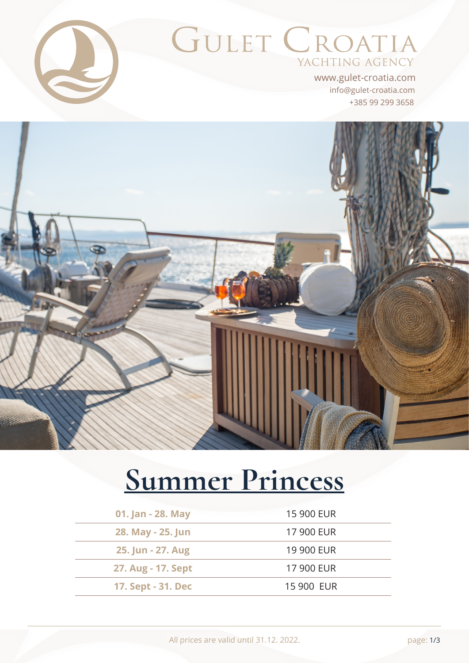

# **GULET CROATIA** YACHTING AGENCY

+385 99 299 3658 info@gulet-croatia.com www.gulet-croatia.com



# **[Summer Princess](https://www.gulet-croatia.com/gulets-cruise-croatia/sy-summer-princess)**

| 01. Jan - 28. May  | 15 900 EUR |
|--------------------|------------|
| 28. May - 25. Jun  | 17 900 EUR |
| 25. Jun - 27. Aug  | 19 900 EUR |
| 27. Aug - 17. Sept | 17 900 EUR |
| 17. Sept - 31. Dec | 15 900 EUR |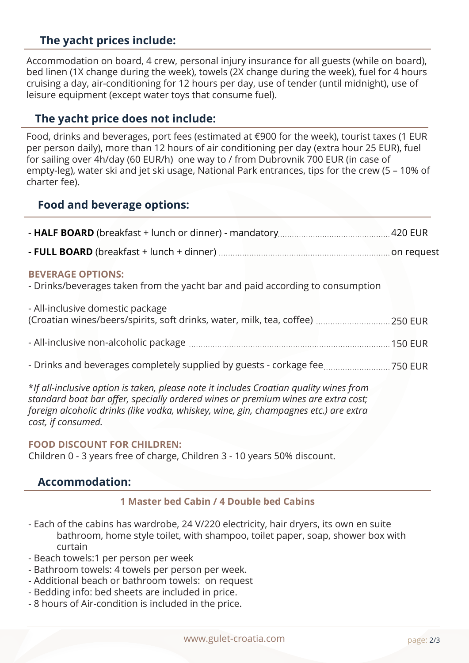### **The yacht prices include:**

Accommodation on board, 4 crew, personal injury insurance for all guests (while on board), bed linen (1X change during the week), towels (2X change during the week), fuel for 4 hours cruising a day, air-conditioning for 12 hours per day, use of tender (until midnight), use of leisure equipment (except water toys that consume fuel).

#### **The yacht price does not include:**

Food, drinks and beverages, port fees (estimated at €900 for the week), tourist taxes (1 EUR per person daily), more than 12 hours of air conditioning per day (extra hour 25 EUR), fuel for sailing over 4h/day (60 EUR/h) one way to / from Dubrovnik 700 EUR (in case of empty-leg), water ski and jet ski usage, National Park entrances, tips for the crew (5 – 10% of charter fee).

#### **Food and beverage options:**

| <b>BEVERAGE OPTIONS:</b><br>- Drinks/beverages taken from the yacht bar and paid according to consumption |  |
|-----------------------------------------------------------------------------------------------------------|--|
| - All-inclusive domestic package                                                                          |  |
|                                                                                                           |  |
| - Drinks and beverages completely supplied by guests - corkage fee750 EUR                                 |  |

\**If all-inclusive option is taken, please note it includes Croatian quality wines from standard boat bar offer, specially ordered wines or premium wines are extra cost; foreign alcoholic drinks (like vodka, whiskey, wine, gin, champagnes etc.) are extra cost, if consumed.*

#### **FOOD DISCOUNT FOR CHILDREN:**

Children 0 - 3 years free of charge, Children 3 - 10 years 50% discount.

#### **Accommodation:**

#### **1 Master bed Cabin / 4 Double bed Cabins**

- Each of the cabins has wardrobe, 24 V/220 electricity, hair dryers, its own en suite bathroom, home style toilet, with shampoo, toilet paper, soap, shower box with curtain
- Beach towels:1 per person per week
- Bathroom towels: 4 towels per person per week.
- Additional beach or bathroom towels: on request
- Bedding info: bed sheets are included in price.
- 8 hours of Air-condition is included in the price.